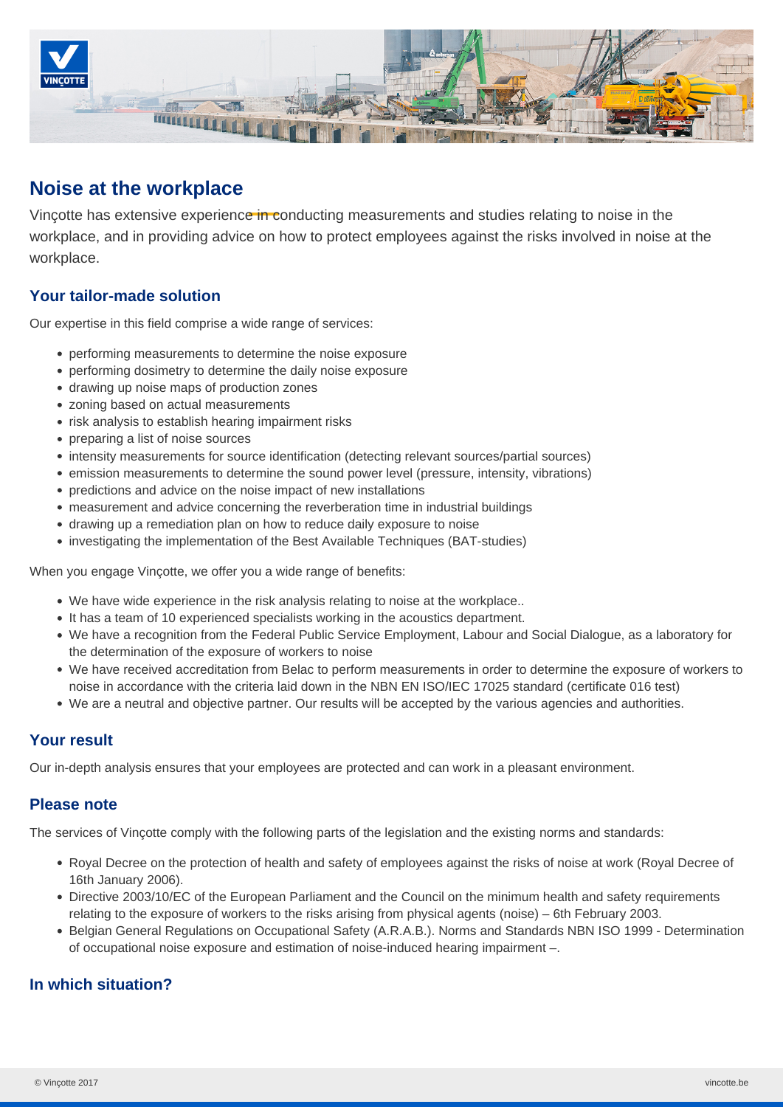

# **Noise at the workplace**

Vincotte has extensive experience in conducting measurements and studies relating to noise in the workplace, and in providing advice on how to protect employees against the risks involved in noise at the workplace.

# **Your tailor-made solution**

Our expertise in this field comprise a wide range of services:

- performing measurements to determine the noise exposure
- performing dosimetry to determine the daily noise exposure
- drawing up noise maps of production zones
- zoning based on actual measurements
- risk analysis to establish hearing impairment risks
- preparing a list of noise sources
- intensity measurements for source identification (detecting relevant sources/partial sources)
- emission measurements to determine the sound power level (pressure, intensity, vibrations)
- predictions and advice on the noise impact of new installations
- measurement and advice concerning the reverberation time in industrial buildings
- drawing up a remediation plan on how to reduce daily exposure to noise
- investigating the implementation of the Best Available Techniques (BAT-studies)

When you engage Vinçotte, we offer you a wide range of benefits:

- We have wide experience in the risk analysis relating to noise at the workplace..
- It has a team of 10 experienced specialists working in the acoustics department.
- We have a recognition from the Federal Public Service Employment, Labour and Social Dialogue, as a laboratory for the determination of the exposure of workers to noise
- We have received accreditation from Belac to perform measurements in order to determine the exposure of workers to noise in accordance with the criteria laid down in the NBN EN ISO/IEC 17025 standard (certificate 016 test)
- We are a neutral and objective partner. Our results will be accepted by the various agencies and authorities.

### **Your result**

Our in-depth analysis ensures that your employees are protected and can work in a pleasant environment.

### **Please note**

The services of Vinçotte comply with the following parts of the legislation and the existing norms and standards:

- Royal Decree on the protection of health and safety of employees against the risks of noise at work (Royal Decree of 16th January 2006).
- Directive 2003/10/EC of the European Parliament and the Council on the minimum health and safety requirements relating to the exposure of workers to the risks arising from physical agents (noise) – 6th February 2003.
- Belgian General Regulations on Occupational Safety (A.R.A.B.). Norms and Standards NBN ISO 1999 Determination of occupational noise exposure and estimation of noise-induced hearing impairment –.

# **In which situation?**